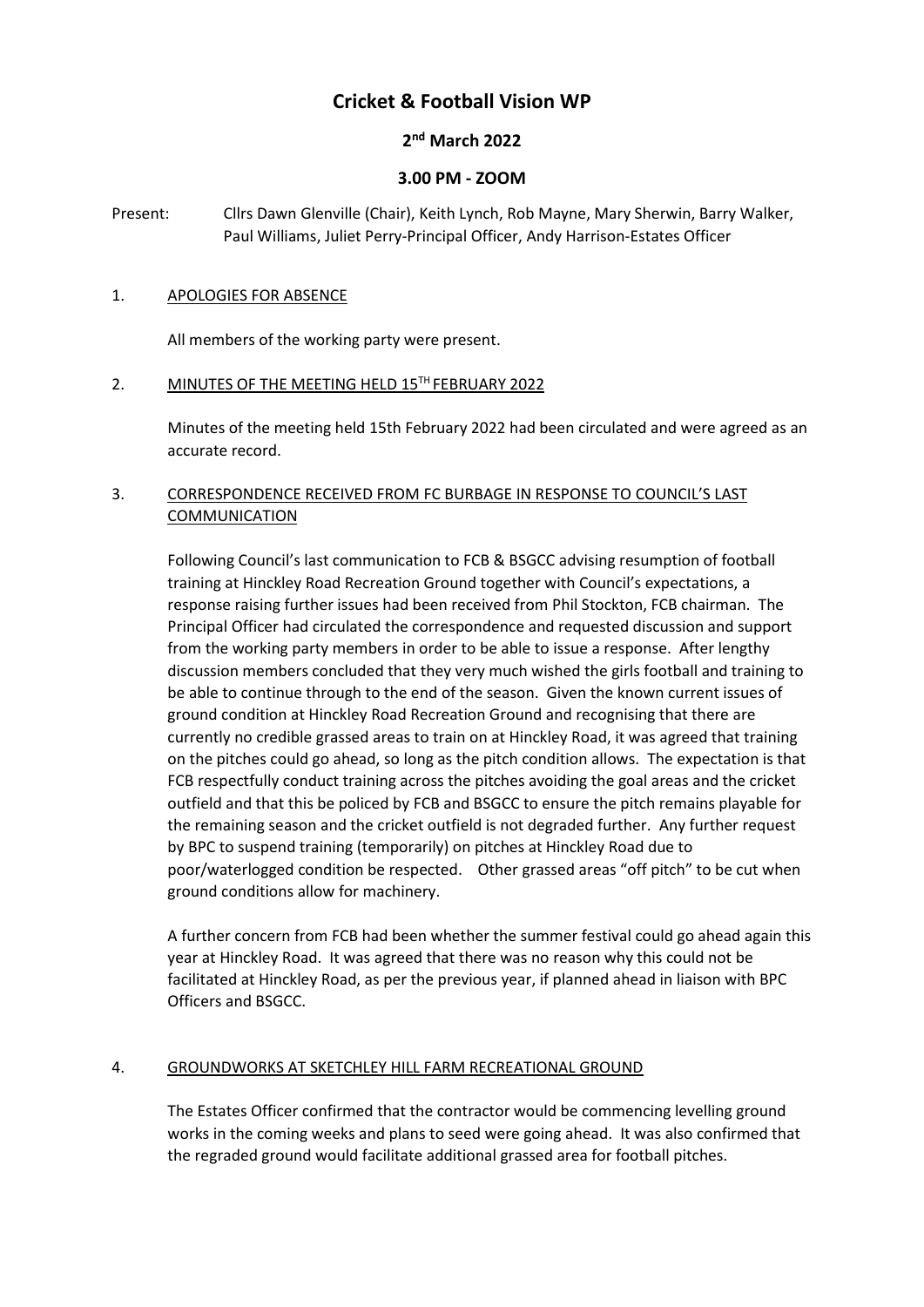# **Cricket & Football Vision WP**

## **2 nd March 2022**

## **3.00 PM - ZOOM**

Present: Cllrs Dawn Glenville (Chair), Keith Lynch, Rob Mayne, Mary Sherwin, Barry Walker, Paul Williams, Juliet Perry-Principal Officer, Andy Harrison-Estates Officer

#### 1. APOLOGIES FOR ABSENCE

All members of the working party were present.

#### 2. MINUTES OF THE MEETING HELD 15TH FEBRUARY 2022

Minutes of the meeting held 15th February 2022 had been circulated and were agreed as an accurate record.

### 3. CORRESPONDENCE RECEIVED FROM FC BURBAGE IN RESPONSE TO COUNCIL'S LAST COMMUNICATION

Following Council's last communication to FCB & BSGCC advising resumption of football training at Hinckley Road Recreation Ground together with Council's expectations, a response raising further issues had been received from Phil Stockton, FCB chairman. The Principal Officer had circulated the correspondence and requested discussion and support from the working party members in order to be able to issue a response. After lengthy discussion members concluded that they very much wished the girls football and training to be able to continue through to the end of the season. Given the known current issues of ground condition at Hinckley Road Recreation Ground and recognising that there are currently no credible grassed areas to train on at Hinckley Road, it was agreed that training on the pitches could go ahead, so long as the pitch condition allows. The expectation is that FCB respectfully conduct training across the pitches avoiding the goal areas and the cricket outfield and that this be policed by FCB and BSGCC to ensure the pitch remains playable for the remaining season and the cricket outfield is not degraded further. Any further request by BPC to suspend training (temporarily) on pitches at Hinckley Road due to poor/waterlogged condition be respected. Other grassed areas "off pitch" to be cut when ground conditions allow for machinery.

A further concern from FCB had been whether the summer festival could go ahead again this year at Hinckley Road. It was agreed that there was no reason why this could not be facilitated at Hinckley Road, as per the previous year, if planned ahead in liaison with BPC Officers and BSGCC.

## 4. GROUNDWORKS AT SKETCHLEY HILL FARM RECREATIONAL GROUND

The Estates Officer confirmed that the contractor would be commencing levelling ground works in the coming weeks and plans to seed were going ahead. It was also confirmed that the regraded ground would facilitate additional grassed area for football pitches.